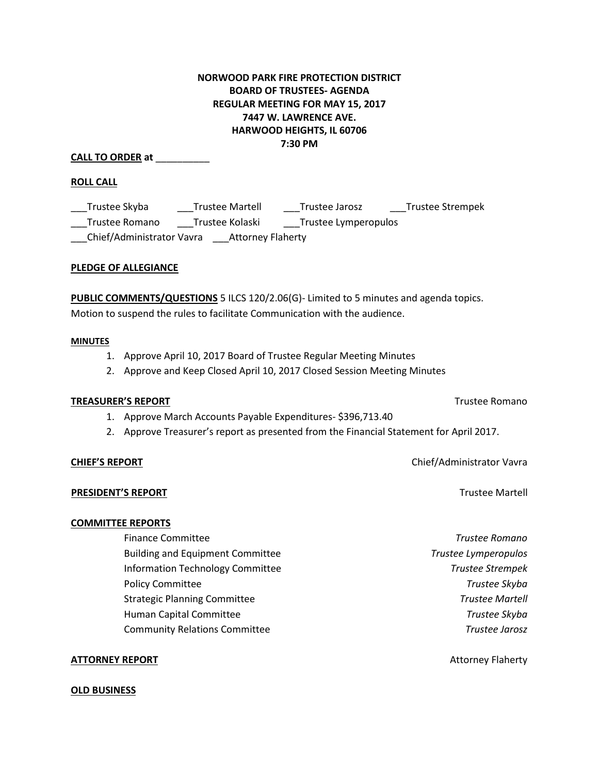# **NORWOOD PARK FIRE PROTECTION DISTRICT BOARD OF TRUSTEES- AGENDA REGULAR MEETING FOR MAY 15, 2017 7447 W. LAWRENCE AVE. HARWOOD HEIGHTS, IL 60706 7:30 PM**

**CALL TO ORDER at** \_\_\_\_\_\_\_\_\_\_

### **ROLL CALL**

\_\_\_Trustee Skyba \_\_\_Trustee Martell \_\_\_Trustee Jarosz \_\_\_Trustee Strempek \_\_\_Trustee Romano \_\_\_Trustee Kolaski \_\_\_Trustee Lymperopulos \_\_\_Chief/Administrator Vavra \_\_\_Attorney Flaherty

### **PLEDGE OF ALLEGIANCE**

**PUBLIC COMMENTS/QUESTIONS** 5 ILCS 120/2.06(G)- Limited to 5 minutes and agenda topics. Motion to suspend the rules to facilitate Communication with the audience.

#### **MINUTES**

- 1. Approve April 10, 2017 Board of Trustee Regular Meeting Minutes
- 2. Approve and Keep Closed April 10, 2017 Closed Session Meeting Minutes

#### **TREASURER'S REPORT** TREASURER'S REPORT

- 1. Approve March Accounts Payable Expenditures- \$396,713.40
- 2. Approve Treasurer's report as presented from the Financial Statement for April 2017.

#### **CHIEF'S REPORT** Chief/Administrator Vavra

#### **PRESIDENT'S REPORT Trustee Martell**

#### **COMMITTEE REPORTS**

 Finance Committee *Trustee Romano* Building and Equipment Committee *Trustee Lymperopulos* Information Technology Committee *Trustee Strempek* Policy Committee *Trustee Skyba*  Strategic Planning Committee *Trustee Martell* Human Capital Committee *Trustee Skyba* Community Relations Committee *Trustee Jarosz* 

#### **ATTORNEY REPORT** And **Attorney Flaherty** and **Attorney Flaherty** and **Attorney Flaherty**

#### **OLD BUSINESS**